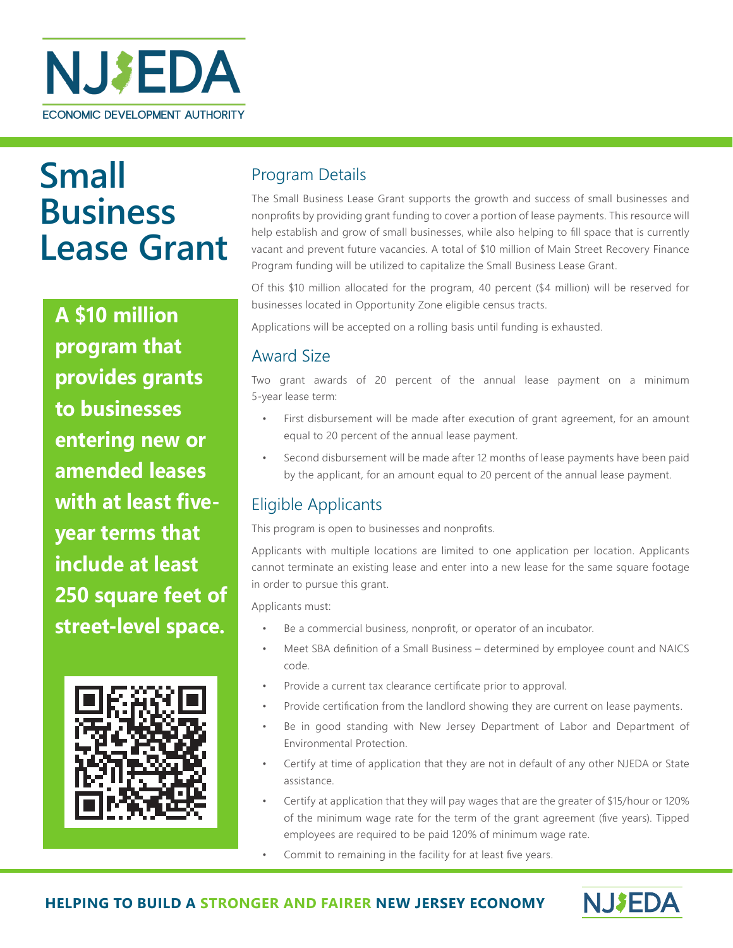

# **Small Business Lease Grant**

**A \$10 million program that provides grants to businesses entering new or amended leases with at least fiveyear terms that include at least 250 square feet of street-level space.** 



# Program Details

The Small Business Lease Grant supports the growth and success of small businesses and nonprofits by providing grant funding to cover a portion of lease payments. This resource will help establish and grow of small businesses, while also helping to fill space that is currently vacant and prevent future vacancies. A total of \$10 million of Main Street Recovery Finance Program funding will be utilized to capitalize the Small Business Lease Grant.

Of this \$10 million allocated for the program, 40 percent (\$4 million) will be reserved for businesses located in Opportunity Zone eligible census tracts.

Applications will be accepted on a rolling basis until funding is exhausted.

## Award Size

Two grant awards of 20 percent of the annual lease payment on a minimum 5-year lease term:

- First disbursement will be made after execution of grant agreement, for an amount equal to 20 percent of the annual lease payment.
- Second disbursement will be made after 12 months of lease payments have been paid by the applicant, for an amount equal to 20 percent of the annual lease payment.

# Eligible Applicants

This program is open to businesses and nonprofits.

Applicants with multiple locations are limited to one application per location. Applicants cannot terminate an existing lease and enter into a new lease for the same square footage in order to pursue this grant.

Applicants must:

- Be a commercial business, nonprofit, or operator of an incubator.
- Meet SBA definition of a Small Business determined by employee count and NAICS code.
- Provide a current tax clearance certificate prior to approval.
- Provide certification from the landlord showing they are current on lease payments.
- Be in good standing with New Jersey Department of Labor and Department of Environmental Protection.
- Certify at time of application that they are not in default of any other NJEDA or State assistance.
- Certify at application that they will pay wages that are the greater of \$15/hour or 120% of the minimum wage rate for the term of the grant agreement (five years). Tipped employees are required to be paid 120% of minimum wage rate.
- Commit to remaining in the facility for at least five years.